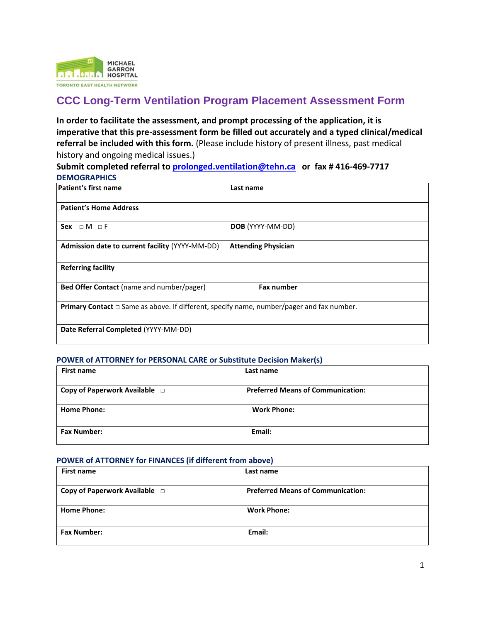

## **CCC Long-Term Ventilation Program Placement Assessment Form**

**In order to facilitate the assessment, and prompt processing of the application, it is imperative that this pre-assessment form be filled out accurately and a typed clinical/medical referral be included with this form.** (Please include history of present illness, past medical history and ongoing medical issues.)

**Submit completed referral t[o prolonged.ventilation@tehn.ca](mailto:prolonged.ventilation@tehn.ca) or fax # 416-469-7717 DEMOGRAPHICS**

| Patient's first name                                                                                  | Last name                  |
|-------------------------------------------------------------------------------------------------------|----------------------------|
| <b>Patient's Home Address</b>                                                                         |                            |
| Sex $\sqcap M \sqcap F$                                                                               | DOB (YYYY-MM-DD)           |
| Admission date to current facility (YYYY-MM-DD)                                                       | <b>Attending Physician</b> |
| <b>Referring facility</b>                                                                             |                            |
| Bed Offer Contact (name and number/pager)                                                             | <b>Fax number</b>          |
| <b>Primary Contact</b> $\Box$ Same as above. If different, specify name, number/pager and fax number. |                            |
| Date Referral Completed (YYYY-MM-DD)                                                                  |                            |

#### **POWER of ATTORNEY for PERSONAL CARE or Substitute Decision Maker(s)**

| <b>First name</b>                  | Last name                                |
|------------------------------------|------------------------------------------|
| Copy of Paperwork Available $\Box$ | <b>Preferred Means of Communication:</b> |
| <b>Home Phone:</b>                 | <b>Work Phone:</b>                       |
| <b>Fax Number:</b>                 | Email:                                   |

#### **POWER of ATTORNEY for FINANCES (if different from above)**

| <b>First name</b>                  | Last name                                |  |
|------------------------------------|------------------------------------------|--|
| Copy of Paperwork Available $\Box$ | <b>Preferred Means of Communication:</b> |  |
|                                    |                                          |  |
| <b>Home Phone:</b>                 | <b>Work Phone:</b>                       |  |
|                                    |                                          |  |
| <b>Fax Number:</b>                 | Email:                                   |  |
|                                    |                                          |  |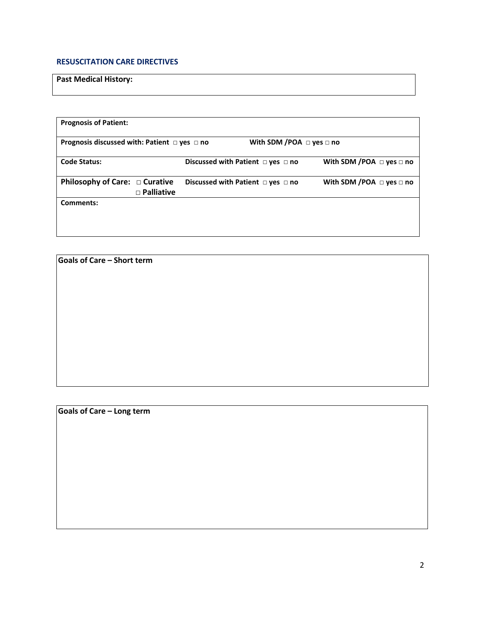#### **RESUSCITATION CARE DIRECTIVES**

### **Past Medical History:**

| <b>Prognosis of Patient:</b>                           |                   |                                             |                                    |                                    |
|--------------------------------------------------------|-------------------|---------------------------------------------|------------------------------------|------------------------------------|
|                                                        |                   |                                             |                                    |                                    |
| Prognosis discussed with: Patient $\Box$ yes $\Box$ no |                   |                                             | With SDM /POA $\Box$ yes $\Box$ no |                                    |
|                                                        |                   |                                             |                                    |                                    |
| <b>Code Status:</b>                                    |                   | Discussed with Patient $\Box$ yes $\Box$ no |                                    | With SDM /POA $\Box$ yes $\Box$ no |
|                                                        |                   |                                             |                                    |                                    |
| Philosophy of Care: $\Box$ Curative                    |                   | Discussed with Patient $\Box$ yes $\Box$ no |                                    | With SDM /POA $\Box$ yes $\Box$ no |
|                                                        | $\Box$ Palliative |                                             |                                    |                                    |
| Comments:                                              |                   |                                             |                                    |                                    |
|                                                        |                   |                                             |                                    |                                    |
|                                                        |                   |                                             |                                    |                                    |
|                                                        |                   |                                             |                                    |                                    |

**Goals of Care – Short term**

**Goals of Care – Long term**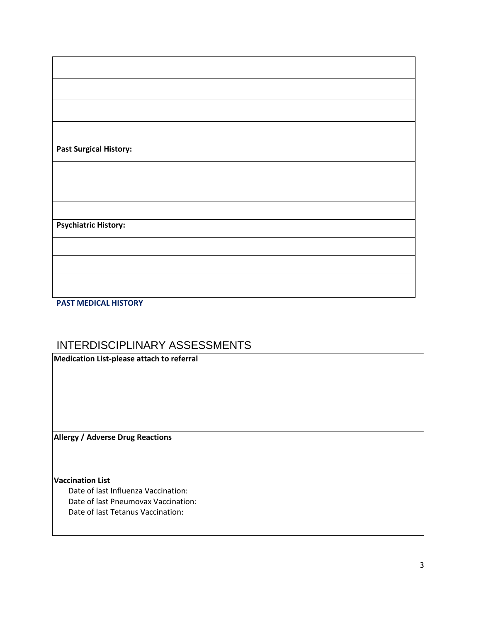| <b>Past Surgical History:</b> |  |  |
|-------------------------------|--|--|
|                               |  |  |
|                               |  |  |
|                               |  |  |
| <b>Psychiatric History:</b>   |  |  |
|                               |  |  |
|                               |  |  |
|                               |  |  |
|                               |  |  |

# **PAST MEDICAL HISTORY**

## INTERDISCIPLINARY ASSESSMENTS

**Medication List-please attach to referral**

**Allergy / Adverse Drug Reactions**

#### **Vaccination List**

 Date of last Influenza Vaccination: Date of last Pneumovax Vaccination: Date of last Tetanus Vaccination: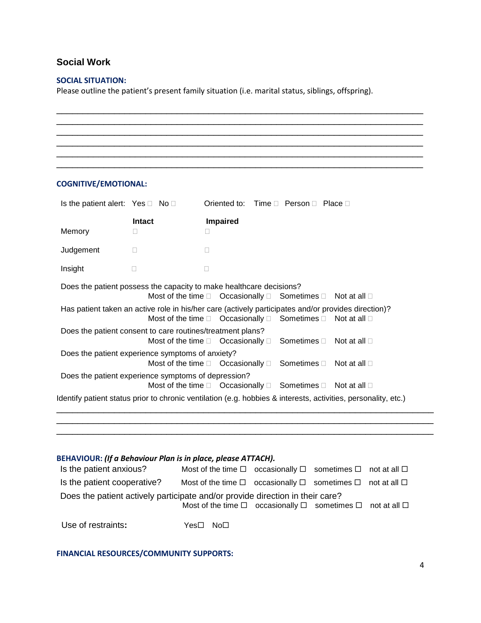## **Social Work**

#### **SOCIAL SITUATION:**

Please outline the patient's present family situation (i.e. marital status, siblings, offspring).

| <b>COGNITIVE/EMOTIONAL:</b>                         |                            |                                                                                                                                                                                              |
|-----------------------------------------------------|----------------------------|----------------------------------------------------------------------------------------------------------------------------------------------------------------------------------------------|
| Is the patient alert: Yes $\Box$ No $\Box$          |                            | Oriented to:<br>Time $\Box$ Person $\Box$ Place $\Box$                                                                                                                                       |
| Memory                                              | <b>Intact</b><br>Ш         | <b>Impaired</b>                                                                                                                                                                              |
| Judgement                                           | П                          | П                                                                                                                                                                                            |
| Insight                                             | $\Box$                     | П                                                                                                                                                                                            |
|                                                     |                            | Does the patient possess the capacity to make healthcare decisions?<br>Most of the time $\square$ Occasionally $\square$ Sometimes $\square$<br>Not at all $\square$                         |
|                                                     |                            | Has patient taken an active role in his/her care (actively participates and/or provides direction)?<br>Most of the time $\square$ Occasionally $\square$<br>Sometimes D<br>Not at all $\Box$ |
|                                                     | Most of the time $\square$ | Does the patient consent to care routines/treatment plans?<br>Occasionally $\square$<br>Sometimes $\Box$<br>Not at all $\Box$                                                                |
| Does the patient experience symptoms of anxiety?    |                            | Most of the time $\square$ Occasionally $\square$<br>Sometimes D<br>Not at all $\Box$                                                                                                        |
| Does the patient experience symptoms of depression? |                            | Most of the time $\square$ Occasionally $\square$<br>Sometimes □<br>Not at all $\Box$                                                                                                        |
|                                                     |                            | Identify patient status prior to chronic ventilation (e.g. hobbies & interests, activities, personality, etc.)                                                                               |

| BEHAVIOUR: (If a Behaviour Plan is in place, please ATTACH).                  |                                                                                            |  |  |
|-------------------------------------------------------------------------------|--------------------------------------------------------------------------------------------|--|--|
| Is the patient anxious?                                                       | Most of the time $\Box$ occasionally $\Box$ sometimes $\Box$ not at all $\Box$             |  |  |
| Is the patient cooperative?                                                   | Most of the time $\square$ occasionally $\square$ sometimes $\square$ not at all $\square$ |  |  |
| Does the patient actively participate and/or provide direction in their care? | Most of the time $\square$ occasionally $\square$ sometimes $\square$ not at all $\square$ |  |  |
| Use of restraints:                                                            | No <sub>1</sub><br>Yes⊟                                                                    |  |  |

\_\_\_\_\_\_\_\_\_\_\_\_\_\_\_\_\_\_\_\_\_\_\_\_\_\_\_\_\_\_\_\_\_\_\_\_\_\_\_\_\_\_\_\_\_\_\_\_\_\_\_\_\_\_\_\_\_\_\_\_\_\_\_\_\_\_\_\_\_\_\_\_

#### **FINANCIAL RESOURCES/COMMUNITY SUPPORTS:**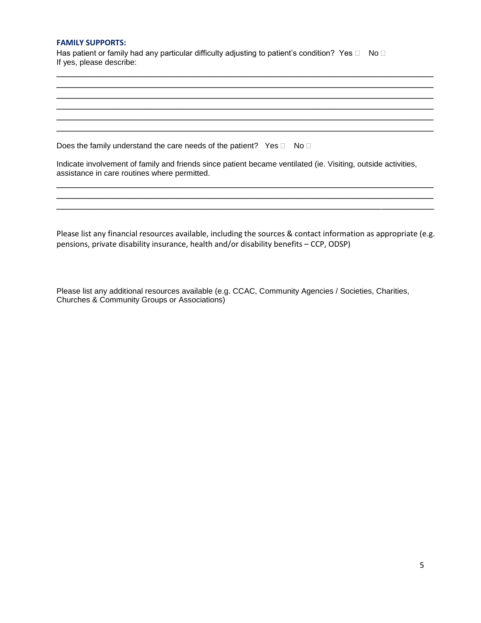#### **FAMILY SUPPORTS:**

Has patient or family had any particular difficulty adjusting to patient's condition? Yes  $\Box$  No  $\Box$ If yes, please describe:

\_\_\_\_\_\_\_\_\_\_\_\_\_\_\_\_\_\_\_\_\_\_\_\_\_\_\_\_\_\_\_\_\_\_\_\_\_\_\_\_\_\_\_\_\_\_\_\_\_\_\_\_\_\_\_\_\_\_\_\_\_\_\_\_\_\_\_\_\_\_\_\_ \_\_\_\_\_\_\_\_\_\_\_\_\_\_\_\_\_\_\_\_\_\_\_\_\_\_\_\_\_\_\_\_\_\_\_\_\_\_\_\_\_\_\_\_\_\_\_\_\_\_\_\_\_\_\_\_\_\_\_\_\_\_\_\_\_\_\_\_\_\_\_\_ \_\_\_\_\_\_\_\_\_\_\_\_\_\_\_\_\_\_\_\_\_\_\_\_\_\_\_\_\_\_\_\_\_\_\_\_\_\_\_\_\_\_\_\_\_\_\_\_\_\_\_\_\_\_\_\_\_\_\_\_\_\_\_\_\_\_\_\_\_\_\_\_ \_\_\_\_\_\_\_\_\_\_\_\_\_\_\_\_\_\_\_\_\_\_\_\_\_\_\_\_\_\_\_\_\_\_\_\_\_\_\_\_\_\_\_\_\_\_\_\_\_\_\_\_\_\_\_\_\_\_\_\_\_\_\_\_\_\_\_\_\_\_\_\_

\_\_\_\_\_\_\_\_\_\_\_\_\_\_\_\_\_\_\_\_\_\_\_\_\_\_\_\_\_\_\_\_\_\_\_\_\_\_\_\_\_\_\_\_\_\_\_\_\_\_\_\_\_\_\_\_\_\_\_\_\_\_\_\_\_\_\_\_\_\_\_\_

\_\_\_\_\_\_\_\_\_\_\_\_\_\_\_\_\_\_\_\_\_\_\_\_\_\_\_\_\_\_\_\_\_\_\_\_\_\_\_\_\_\_\_\_\_\_\_\_\_\_\_\_\_\_\_\_\_\_\_\_\_\_\_\_\_\_\_\_\_\_\_\_ \_\_\_\_\_\_\_\_\_\_\_\_\_\_\_\_\_\_\_\_\_\_\_\_\_\_\_\_\_\_\_\_\_\_\_\_\_\_\_\_\_\_\_\_\_\_\_\_\_\_\_\_\_\_\_\_\_\_\_\_\_\_\_\_\_\_\_\_\_\_\_\_ \_\_\_\_\_\_\_\_\_\_\_\_\_\_\_\_\_\_\_\_\_\_\_\_\_\_\_\_\_\_\_\_\_\_\_\_\_\_\_\_\_\_\_\_\_\_\_\_\_\_\_\_\_\_\_\_\_\_\_\_\_\_\_\_\_\_\_\_\_\_\_\_

Does the family understand the care needs of the patient? Yes  $\Box$  No  $\Box$ 

Indicate involvement of family and friends since patient became ventilated (ie. Visiting, outside activities, assistance in care routines where permitted.

Please list any financial resources available, including the sources & contact information as appropriate (e.g. pensions, private disability insurance, health and/or disability benefits – CCP, ODSP)

Please list any additional resources available (e.g. CCAC, Community Agencies / Societies, Charities, Churches & Community Groups or Associations)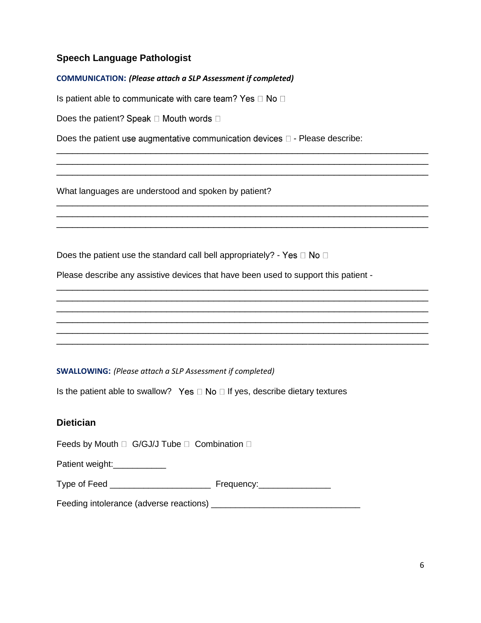### **Speech Language Pathologist**

#### **COMMUNICATION:** *(Please attach a SLP Assessment if completed)*

Is patient able to communicate with care team? Yes  $\Box$  No  $\Box$ 

Does the patient? Speak  $\Box$  Mouth words  $\Box$ 

Does the patient use augmentative communication devices  $\square$  - Please describe:

\_\_\_\_\_\_\_\_\_\_\_\_\_\_\_\_\_\_\_\_\_\_\_\_\_\_\_\_\_\_\_\_\_\_\_\_\_\_\_\_\_\_\_\_\_\_\_\_\_\_\_\_\_\_\_\_\_\_\_\_\_\_\_\_\_\_\_\_\_\_\_ \_\_\_\_\_\_\_\_\_\_\_\_\_\_\_\_\_\_\_\_\_\_\_\_\_\_\_\_\_\_\_\_\_\_\_\_\_\_\_\_\_\_\_\_\_\_\_\_\_\_\_\_\_\_\_\_\_\_\_\_\_\_\_\_\_\_\_\_\_\_\_ \_\_\_\_\_\_\_\_\_\_\_\_\_\_\_\_\_\_\_\_\_\_\_\_\_\_\_\_\_\_\_\_\_\_\_\_\_\_\_\_\_\_\_\_\_\_\_\_\_\_\_\_\_\_\_\_\_\_\_\_\_\_\_\_\_\_\_\_\_\_\_

\_\_\_\_\_\_\_\_\_\_\_\_\_\_\_\_\_\_\_\_\_\_\_\_\_\_\_\_\_\_\_\_\_\_\_\_\_\_\_\_\_\_\_\_\_\_\_\_\_\_\_\_\_\_\_\_\_\_\_\_\_\_\_\_\_\_\_\_\_\_\_ \_\_\_\_\_\_\_\_\_\_\_\_\_\_\_\_\_\_\_\_\_\_\_\_\_\_\_\_\_\_\_\_\_\_\_\_\_\_\_\_\_\_\_\_\_\_\_\_\_\_\_\_\_\_\_\_\_\_\_\_\_\_\_\_\_\_\_\_\_\_\_ \_\_\_\_\_\_\_\_\_\_\_\_\_\_\_\_\_\_\_\_\_\_\_\_\_\_\_\_\_\_\_\_\_\_\_\_\_\_\_\_\_\_\_\_\_\_\_\_\_\_\_\_\_\_\_\_\_\_\_\_\_\_\_\_\_\_\_\_\_\_\_

\_\_\_\_\_\_\_\_\_\_\_\_\_\_\_\_\_\_\_\_\_\_\_\_\_\_\_\_\_\_\_\_\_\_\_\_\_\_\_\_\_\_\_\_\_\_\_\_\_\_\_\_\_\_\_\_\_\_\_\_\_\_\_\_\_\_\_\_\_\_\_ \_\_\_\_\_\_\_\_\_\_\_\_\_\_\_\_\_\_\_\_\_\_\_\_\_\_\_\_\_\_\_\_\_\_\_\_\_\_\_\_\_\_\_\_\_\_\_\_\_\_\_\_\_\_\_\_\_\_\_\_\_\_\_\_\_\_\_\_\_\_\_ \_\_\_\_\_\_\_\_\_\_\_\_\_\_\_\_\_\_\_\_\_\_\_\_\_\_\_\_\_\_\_\_\_\_\_\_\_\_\_\_\_\_\_\_\_\_\_\_\_\_\_\_\_\_\_\_\_\_\_\_\_\_\_\_\_\_\_\_\_\_\_ \_\_\_\_\_\_\_\_\_\_\_\_\_\_\_\_\_\_\_\_\_\_\_\_\_\_\_\_\_\_\_\_\_\_\_\_\_\_\_\_\_\_\_\_\_\_\_\_\_\_\_\_\_\_\_\_\_\_\_\_\_\_\_\_\_\_\_\_\_\_\_ \_\_\_\_\_\_\_\_\_\_\_\_\_\_\_\_\_\_\_\_\_\_\_\_\_\_\_\_\_\_\_\_\_\_\_\_\_\_\_\_\_\_\_\_\_\_\_\_\_\_\_\_\_\_\_\_\_\_\_\_\_\_\_\_\_\_\_\_\_\_\_ \_\_\_\_\_\_\_\_\_\_\_\_\_\_\_\_\_\_\_\_\_\_\_\_\_\_\_\_\_\_\_\_\_\_\_\_\_\_\_\_\_\_\_\_\_\_\_\_\_\_\_\_\_\_\_\_\_\_\_\_\_\_\_\_\_\_\_\_\_\_\_

What languages are understood and spoken by patient?

Does the patient use the standard call bell appropriately? - Yes  $\Box$  No  $\Box$ 

Please describe any assistive devices that have been used to support this patient -

#### **SWALLOWING:** *(Please attach a SLP Assessment if completed)*

Is the patient able to swallow? Yes  $\Box$  No  $\Box$  If yes, describe dietary textures

#### **Dietician**

Feeds by Mouth  $\Box$  G/GJ/J Tube  $\Box$  Combination  $\Box$ 

Patient weight:\_\_\_\_\_\_\_\_\_\_\_\_\_

Type of Feed \_\_\_\_\_\_\_\_\_\_\_\_\_\_\_\_\_\_\_\_\_ Frequency:\_\_\_\_\_\_\_\_\_\_\_\_\_\_\_

Feeding intolerance (adverse reactions) \_\_\_\_\_\_\_\_\_\_\_\_\_\_\_\_\_\_\_\_\_\_\_\_\_\_\_\_\_\_\_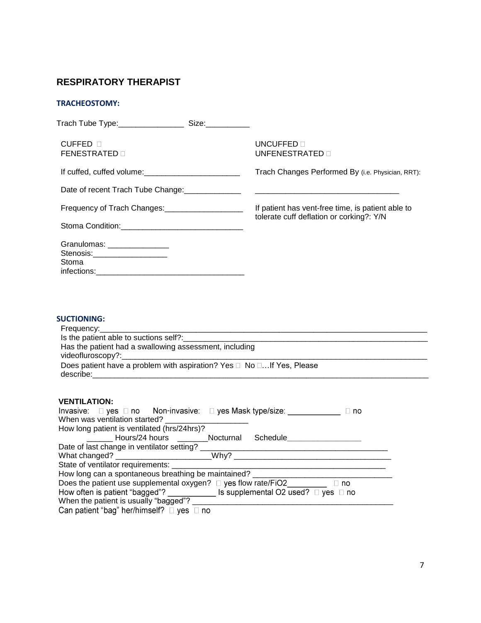## **RESPIRATORY THERAPIST**

#### **TRACHEOSTOMY:**

| Trach Tube Type:____________________Size:___________                    |                                                   |
|-------------------------------------------------------------------------|---------------------------------------------------|
| $CUFFED \Box$<br><b>FENESTRATED</b> n                                   | UNCUFFED <b>n</b><br>UNFENESTRATED <b>n</b>       |
|                                                                         | Trach Changes Performed By (i.e. Physician, RRT): |
|                                                                         |                                                   |
| Frequency of Trach Changes: _____________________                       | If patient has vent-free time, is patient able to |
|                                                                         | tolerate cuff deflation or corking?: Y/N          |
| Granulomas: ________________<br>Stenosis:_____________________<br>Stoma |                                                   |

#### **SUCTIONING:**

| Has the patient had a swallowing assessment, including                |
|-----------------------------------------------------------------------|
|                                                                       |
| Does patient have a problem with aspiration? Yes □ No □If Yes, Please |
|                                                                       |
|                                                                       |
|                                                                       |

#### **VENTILATION:**

| Invasive: $\square$ yes $\square$ no  Non-invasive: $\square$ yes Mask type/size:<br>When was ventilation started? | ⊔ no |  |
|--------------------------------------------------------------------------------------------------------------------|------|--|
| How long patient is ventilated (hrs/24hrs)?                                                                        |      |  |
| Hours/24 hours __________Nocturnal Schedule_______                                                                 |      |  |
| Date of last change in ventilator setting?                                                                         |      |  |
| What changed? ______________________________Why? ___                                                               |      |  |
| State of ventilator requirements: ___                                                                              |      |  |
| How long can a spontaneous breathing be maintained?                                                                |      |  |
| Does the patient use supplemental oxygen? $\Box$ yes flow rate/FiO2 $\Box$ no                                      |      |  |
| How often is patient "bagged"? $\qquad \qquad$ Is supplemental O2 used? $\Box$ yes $\Box$ no                       |      |  |
| When the patient is usually "bagged"?                                                                              |      |  |
| Can patient "bag" her/himself? $\Box$ yes $\Box$ no                                                                |      |  |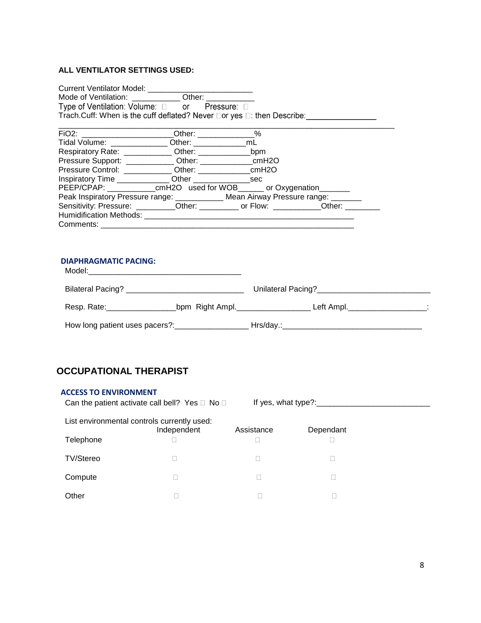#### **ALL VENTILATOR SETTINGS USED:**

|                              | Type of Ventilation: Volume: 0 or Pressure: 0                                                                                                                                                                                       |  |  |
|------------------------------|-------------------------------------------------------------------------------------------------------------------------------------------------------------------------------------------------------------------------------------|--|--|
|                              | Trach.Cuff: When is the cuff deflated? Never □or yes □: then Describe: <u>[11] New York: New York: New York: New York: New York: New York: New York: New York: New York: New York: New York: New York: New York: New York: New </u> |  |  |
|                              |                                                                                                                                                                                                                                     |  |  |
|                              | FiO2: ___________________________Other: ______________%                                                                                                                                                                             |  |  |
|                              | Tidal Volume: _______________ Other: _________________mL                                                                                                                                                                            |  |  |
|                              |                                                                                                                                                                                                                                     |  |  |
|                              |                                                                                                                                                                                                                                     |  |  |
|                              |                                                                                                                                                                                                                                     |  |  |
|                              | Inspiratory Time _______________ Other __________________sec                                                                                                                                                                        |  |  |
|                              | PEEP/CPAP: ____________cmH2O used for WOB_______ or Oxygenation_________                                                                                                                                                            |  |  |
|                              | Peak Inspiratory Pressure range: ____________ Mean Airway Pressure range: _______                                                                                                                                                   |  |  |
|                              | Sensitivity: Pressure: _________Other: __________ or Flow: __________Other: _________                                                                                                                                               |  |  |
|                              |                                                                                                                                                                                                                                     |  |  |
|                              |                                                                                                                                                                                                                                     |  |  |
|                              |                                                                                                                                                                                                                                     |  |  |
|                              |                                                                                                                                                                                                                                     |  |  |
| <b>DIAPHRAGMATIC PACING:</b> |                                                                                                                                                                                                                                     |  |  |
|                              |                                                                                                                                                                                                                                     |  |  |
|                              | Resp. Rate: __________________________bpm Right Ampl. ___________________________ Left Ampl. __________________:                                                                                                                    |  |  |
|                              |                                                                                                                                                                                                                                     |  |  |

## **OCCUPATIONAL THERAPIST**

#### **ACCESS TO ENVIRONMENT**

| Can the patient activate call bell? Yes $\square$ No $\square$ |  | If yes, what type?: |
|----------------------------------------------------------------|--|---------------------|
|----------------------------------------------------------------|--|---------------------|

List environmental controls currently used:

| $-0.01$          | Independent | Assistance | Dependant |
|------------------|-------------|------------|-----------|
| Telephone        |             |            |           |
| <b>TV/Stereo</b> |             |            |           |
| Compute          |             |            |           |
| Other            |             |            |           |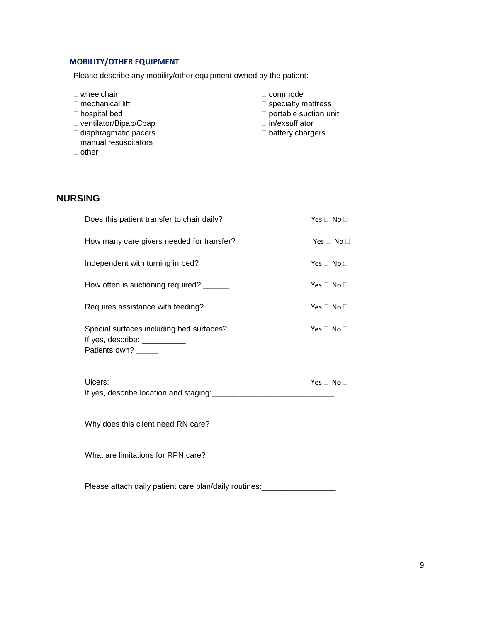### **MOBILITY/OTHER EQUIPMENT**

Please describe any mobility/other equipment owned by the patient:

| $\Box$ wheelchair            | $\Box$ commode               |
|------------------------------|------------------------------|
| $\Box$ mechanical lift       | $\Box$ specialty mattress    |
| $\Box$ hospital bed          | $\Box$ portable suction unit |
| $\Box$ ventilator/Bipap/Cpap | $\Box$ in/exsufflator        |
| $\Box$ diaphragmatic pacers  | $\Box$ battery chargers      |
| $\Box$ manual resuscitators  |                              |

 $\Box$  other

## **NURSING**

| Does this patient transfer to chair daily?                                                       | Yes $\Box$ No $\Box$ |
|--------------------------------------------------------------------------------------------------|----------------------|
| How many care givers needed for transfer? ___                                                    | Yes $\Box$ No $\Box$ |
| Independent with turning in bed?                                                                 | Yes $\Box$ No $\Box$ |
| How often is suctioning required? ______                                                         | Yes $\Box$ No $\Box$ |
| Requires assistance with feeding?                                                                | Yes $\Box$ No $\Box$ |
| Special surfaces including bed surfaces?<br>If yes, describe: ___________<br>Patients own? _____ | Yes $\Box$ No $\Box$ |
| Ulcers:                                                                                          | Yes $\Box$ No $\Box$ |
| Why does this client need RN care?                                                               |                      |
| What are limitations for RPN care?                                                               |                      |

Please attach daily patient care plan/daily routines: \_\_\_\_\_\_\_\_\_\_\_\_\_\_\_\_\_\_\_\_\_\_\_\_\_\_